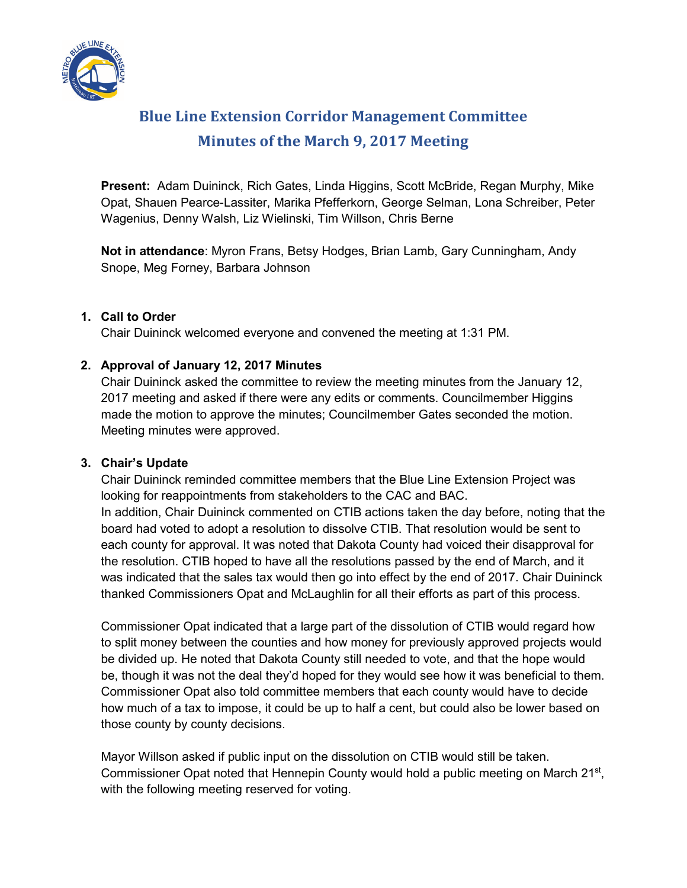

# **Blue Line Extension Corridor Management Committee Minutes of the March 9, 2017 Meeting**

**Present:** Adam Duininck, Rich Gates, Linda Higgins, Scott McBride, Regan Murphy, Mike Opat, Shauen Pearce-Lassiter, Marika Pfefferkorn, George Selman, Lona Schreiber, Peter Wagenius, Denny Walsh, Liz Wielinski, Tim Willson, Chris Berne

**Not in attendance**: Myron Frans, Betsy Hodges, Brian Lamb, Gary Cunningham, Andy Snope, Meg Forney, Barbara Johnson

## **1. Call to Order**

Chair Duininck welcomed everyone and convened the meeting at 1:31 PM.

## **2. Approval of January 12, 2017 Minutes**

Chair Duininck asked the committee to review the meeting minutes from the January 12, 2017 meeting and asked if there were any edits or comments. Councilmember Higgins made the motion to approve the minutes; Councilmember Gates seconded the motion. Meeting minutes were approved.

## **3. Chair's Update**

Chair Duininck reminded committee members that the Blue Line Extension Project was looking for reappointments from stakeholders to the CAC and BAC. In addition, Chair Duininck commented on CTIB actions taken the day before, noting that the board had voted to adopt a resolution to dissolve CTIB. That resolution would be sent to each county for approval. It was noted that Dakota County had voiced their disapproval for the resolution. CTIB hoped to have all the resolutions passed by the end of March, and it was indicated that the sales tax would then go into effect by the end of 2017. Chair Duininck thanked Commissioners Opat and McLaughlin for all their efforts as part of this process.

Commissioner Opat indicated that a large part of the dissolution of CTIB would regard how to split money between the counties and how money for previously approved projects would be divided up. He noted that Dakota County still needed to vote, and that the hope would be, though it was not the deal they'd hoped for they would see how it was beneficial to them. Commissioner Opat also told committee members that each county would have to decide how much of a tax to impose, it could be up to half a cent, but could also be lower based on those county by county decisions.

Mayor Willson asked if public input on the dissolution on CTIB would still be taken. Commissioner Opat noted that Hennepin County would hold a public meeting on March 21<sup>st</sup>, with the following meeting reserved for voting.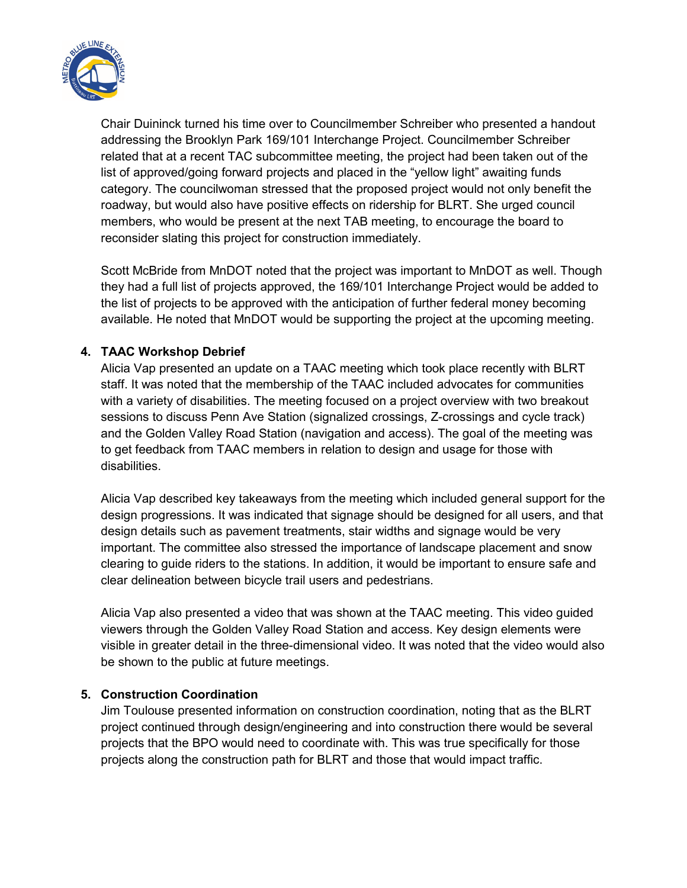

Chair Duininck turned his time over to Councilmember Schreiber who presented a handout addressing the Brooklyn Park 169/101 Interchange Project. Councilmember Schreiber related that at a recent TAC subcommittee meeting, the project had been taken out of the list of approved/going forward projects and placed in the "yellow light" awaiting funds category. The councilwoman stressed that the proposed project would not only benefit the roadway, but would also have positive effects on ridership for BLRT. She urged council members, who would be present at the next TAB meeting, to encourage the board to reconsider slating this project for construction immediately.

Scott McBride from MnDOT noted that the project was important to MnDOT as well. Though they had a full list of projects approved, the 169/101 Interchange Project would be added to the list of projects to be approved with the anticipation of further federal money becoming available. He noted that MnDOT would be supporting the project at the upcoming meeting.

# **4. TAAC Workshop Debrief**

Alicia Vap presented an update on a TAAC meeting which took place recently with BLRT staff. It was noted that the membership of the TAAC included advocates for communities with a variety of disabilities. The meeting focused on a project overview with two breakout sessions to discuss Penn Ave Station (signalized crossings, Z-crossings and cycle track) and the Golden Valley Road Station (navigation and access). The goal of the meeting was to get feedback from TAAC members in relation to design and usage for those with disabilities.

Alicia Vap described key takeaways from the meeting which included general support for the design progressions. It was indicated that signage should be designed for all users, and that design details such as pavement treatments, stair widths and signage would be very important. The committee also stressed the importance of landscape placement and snow clearing to guide riders to the stations. In addition, it would be important to ensure safe and clear delineation between bicycle trail users and pedestrians.

Alicia Vap also presented a video that was shown at the TAAC meeting. This video guided viewers through the Golden Valley Road Station and access. Key design elements were visible in greater detail in the three-dimensional video. It was noted that the video would also be shown to the public at future meetings.

## **5. Construction Coordination**

Jim Toulouse presented information on construction coordination, noting that as the BLRT project continued through design/engineering and into construction there would be several projects that the BPO would need to coordinate with. This was true specifically for those projects along the construction path for BLRT and those that would impact traffic.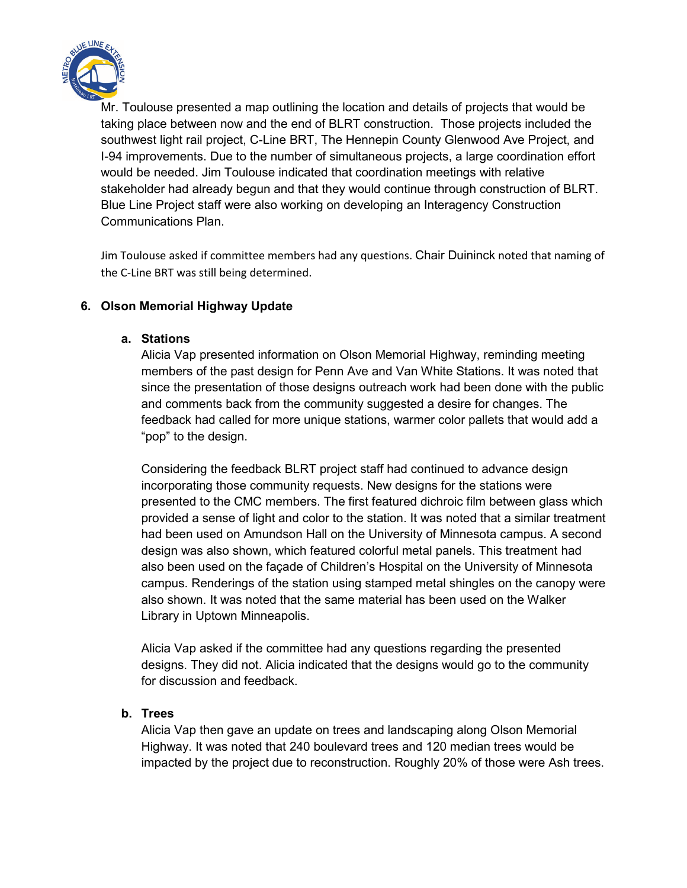

Mr. Toulouse presented a map outlining the location and details of projects that would be taking place between now and the end of BLRT construction. Those projects included the southwest light rail project, C-Line BRT, The Hennepin County Glenwood Ave Project, and I-94 improvements. Due to the number of simultaneous projects, a large coordination effort would be needed. Jim Toulouse indicated that coordination meetings with relative stakeholder had already begun and that they would continue through construction of BLRT. Blue Line Project staff were also working on developing an Interagency Construction Communications Plan.

Jim Toulouse asked if committee members had any questions. Chair Duininck noted that naming of the C-Line BRT was still being determined.

# **6. Olson Memorial Highway Update**

## **a. Stations**

Alicia Vap presented information on Olson Memorial Highway, reminding meeting members of the past design for Penn Ave and Van White Stations. It was noted that since the presentation of those designs outreach work had been done with the public and comments back from the community suggested a desire for changes. The feedback had called for more unique stations, warmer color pallets that would add a "pop" to the design.

Considering the feedback BLRT project staff had continued to advance design incorporating those community requests. New designs for the stations were presented to the CMC members. The first featured dichroic film between glass which provided a sense of light and color to the station. It was noted that a similar treatment had been used on Amundson Hall on the University of Minnesota campus. A second design was also shown, which featured colorful metal panels. This treatment had also been used on the façade of Children's Hospital on the University of Minnesota campus. Renderings of the station using stamped metal shingles on the canopy were also shown. It was noted that the same material has been used on the Walker Library in Uptown Minneapolis.

Alicia Vap asked if the committee had any questions regarding the presented designs. They did not. Alicia indicated that the designs would go to the community for discussion and feedback.

## **b. Trees**

Alicia Vap then gave an update on trees and landscaping along Olson Memorial Highway. It was noted that 240 boulevard trees and 120 median trees would be impacted by the project due to reconstruction. Roughly 20% of those were Ash trees.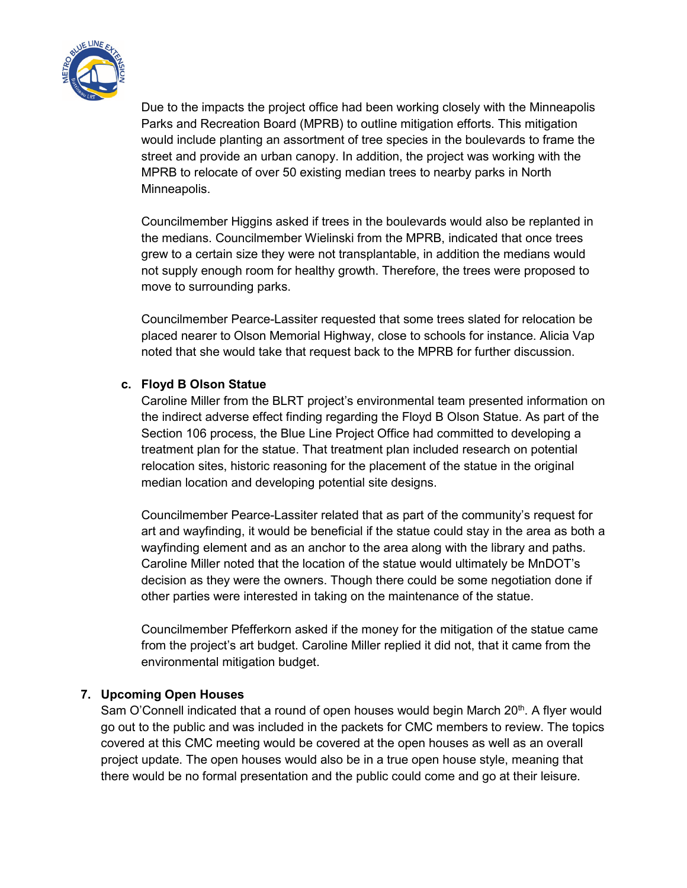

Due to the impacts the project office had been working closely with the Minneapolis Parks and Recreation Board (MPRB) to outline mitigation efforts. This mitigation would include planting an assortment of tree species in the boulevards to frame the street and provide an urban canopy. In addition, the project was working with the MPRB to relocate of over 50 existing median trees to nearby parks in North Minneapolis.

Councilmember Higgins asked if trees in the boulevards would also be replanted in the medians. Councilmember Wielinski from the MPRB, indicated that once trees grew to a certain size they were not transplantable, in addition the medians would not supply enough room for healthy growth. Therefore, the trees were proposed to move to surrounding parks.

Councilmember Pearce-Lassiter requested that some trees slated for relocation be placed nearer to Olson Memorial Highway, close to schools for instance. Alicia Vap noted that she would take that request back to the MPRB for further discussion.

## **c. Floyd B Olson Statue**

Caroline Miller from the BLRT project's environmental team presented information on the indirect adverse effect finding regarding the Floyd B Olson Statue. As part of the Section 106 process, the Blue Line Project Office had committed to developing a treatment plan for the statue. That treatment plan included research on potential relocation sites, historic reasoning for the placement of the statue in the original median location and developing potential site designs.

Councilmember Pearce-Lassiter related that as part of the community's request for art and wayfinding, it would be beneficial if the statue could stay in the area as both a wayfinding element and as an anchor to the area along with the library and paths. Caroline Miller noted that the location of the statue would ultimately be MnDOT's decision as they were the owners. Though there could be some negotiation done if other parties were interested in taking on the maintenance of the statue.

Councilmember Pfefferkorn asked if the money for the mitigation of the statue came from the project's art budget. Caroline Miller replied it did not, that it came from the environmental mitigation budget.

## **7. Upcoming Open Houses**

Sam O'Connell indicated that a round of open houses would begin March  $20<sup>th</sup>$ . A flyer would go out to the public and was included in the packets for CMC members to review. The topics covered at this CMC meeting would be covered at the open houses as well as an overall project update. The open houses would also be in a true open house style, meaning that there would be no formal presentation and the public could come and go at their leisure.